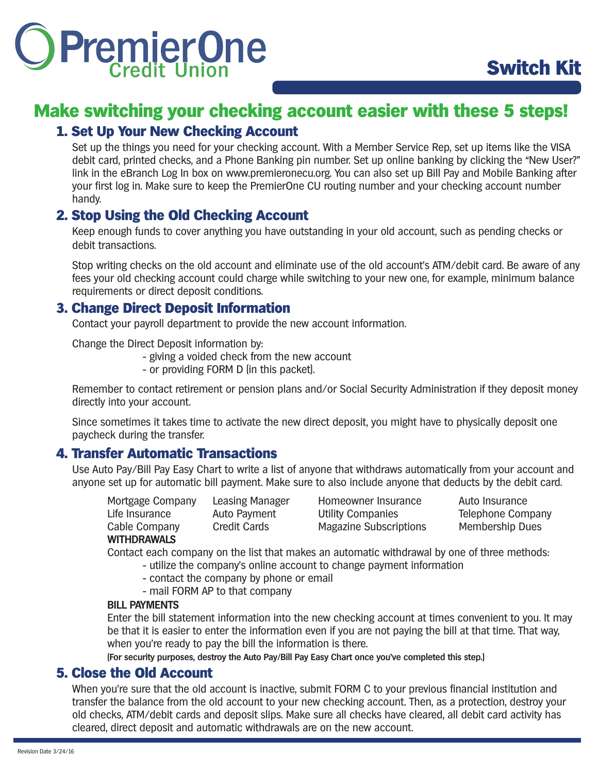

## Make switching your checking account easier with these 5 steps!

#### 1. Set Up Your New Checking Account

Set up the things you need for your checking account. With a Member Service Rep, set up items like the VISA debit card, printed checks, and a Phone Banking pin number. Set up online banking by clicking the "New User?" link in the eBranch Log In box on www.premieronecu.org. You can also set up Bill Pay and Mobile Banking after your first log in. Make sure to keep the PremierOne CU routing number and your checking account number handy.

#### 2. Stop Using the Old Checking Account

Keep enough funds to cover anything you have outstanding in your old account, such as pending checks or debit transactions.

Stop writing checks on the old account and eliminate use of the old account's ATM/debit card. Be aware of any fees your old checking account could charge while switching to your new one, for example, minimum balance requirements or direct deposit conditions.

#### 3. Change Direct Deposit Information

Contact your payroll department to provide the new account information.

Change the Direct Deposit information by:

- giving a voided check from the new account
- or providing FORM D (in this packet).

Remember to contact retirement or pension plans and/or Social Security Administration if they deposit money directly into your account.

Since sometimes it takes time to activate the new direct deposit, you might have to physically deposit one paycheck during the transfer.

#### 4. Transfer Automatic Transactions

Use Auto Pay/Bill Pay Easy Chart to write a list of anyone that withdraws automatically from your account and anyone set up for automatic bill payment. Make sure to also include anyone that deducts by the debit card.

Mortgage Company Leasing Manager Homeowner Insurance Auto Insurance Life Insurance Auto Payment Utility Companies Telephone Company Cable Company Credit Cards Magazine Subscriptions Membership Dues

**WITHDRAWALS** 

Contact each company on the list that makes an automatic withdrawal by one of three methods:

- utilize the company's online account to change payment information
- contact the company by phone or email
- mail FORM AP to that company

#### **BILL PAYMENTS**

Enter the bill statement information into the new checking account at times convenient to you. It may be that it is easier to enter the information even if you are not paying the bill at that time. That way, when you're ready to pay the bill the information is there.

**(For security purposes, destroy the Auto Pay/Bill Pay Easy Chart once you've completed this step.)**

#### 5. Close the Old Account

When you're sure that the old account is inactive, submit FORM C to your previous financial institution and transfer the balance from the old account to your new checking account. Then, as a protection, destroy your old checks, ATM/debit cards and deposit slips. Make sure all checks have cleared, all debit card activity has cleared, direct deposit and automatic withdrawals are on the new account.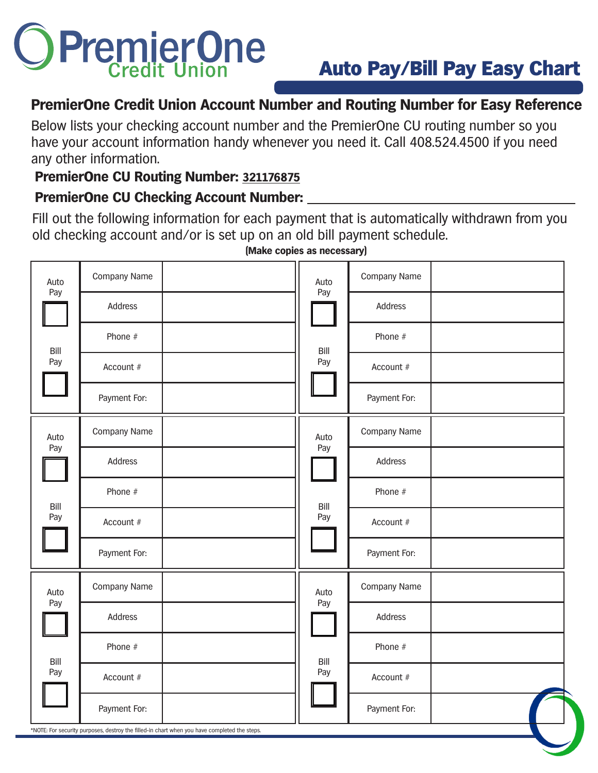# PremierOne

## **PremierOne Credit Union Account Number and Routing Number for Easy Reference**

Below lists your checking account number and the PremierOne CU routing number so you have your account information handy whenever you need it. Call 408.524.4500 if you need any other information.

## **PremierOne CU Routing Number: 321176875**

### **PremierOne CU Checking Account Number:**

Fill out the following information for each payment that is automatically withdrawn from you old checking account and/or is set up on an old bill payment schedule.

| Address<br>Address<br>Phone #<br>Phone #<br>Bill<br>Bill<br>Pay<br>Pay<br>Account #<br>Account #<br>Payment For:<br>Payment For:<br>Company Name<br>Company Name<br>Auto<br>Auto<br>Pay<br>Pay<br>Address<br>Address<br>Phone #<br>Phone #<br>Bill<br>Bill<br>Pay<br>Pay<br>Account #<br>Account #<br>Payment For:<br>Payment For:<br>Company Name<br>Company Name<br>Auto<br>Auto<br>Pay<br>Pay<br>Address<br>Address<br>Phone #<br>Phone #<br>Bill<br>Bill<br>Pay<br>Pay<br>Account #<br>Account #<br>Payment For:<br>Payment For: | Auto<br>Pay | Company Name | Auto<br>Pay | Company Name |  |
|--------------------------------------------------------------------------------------------------------------------------------------------------------------------------------------------------------------------------------------------------------------------------------------------------------------------------------------------------------------------------------------------------------------------------------------------------------------------------------------------------------------------------------------|-------------|--------------|-------------|--------------|--|
|                                                                                                                                                                                                                                                                                                                                                                                                                                                                                                                                      |             |              |             |              |  |
|                                                                                                                                                                                                                                                                                                                                                                                                                                                                                                                                      |             |              |             |              |  |
|                                                                                                                                                                                                                                                                                                                                                                                                                                                                                                                                      |             |              |             |              |  |
|                                                                                                                                                                                                                                                                                                                                                                                                                                                                                                                                      |             |              |             |              |  |
|                                                                                                                                                                                                                                                                                                                                                                                                                                                                                                                                      |             |              |             |              |  |
|                                                                                                                                                                                                                                                                                                                                                                                                                                                                                                                                      |             |              |             |              |  |
|                                                                                                                                                                                                                                                                                                                                                                                                                                                                                                                                      |             |              |             |              |  |
|                                                                                                                                                                                                                                                                                                                                                                                                                                                                                                                                      |             |              |             |              |  |
|                                                                                                                                                                                                                                                                                                                                                                                                                                                                                                                                      |             |              |             |              |  |
|                                                                                                                                                                                                                                                                                                                                                                                                                                                                                                                                      |             |              |             |              |  |
|                                                                                                                                                                                                                                                                                                                                                                                                                                                                                                                                      |             |              |             |              |  |
|                                                                                                                                                                                                                                                                                                                                                                                                                                                                                                                                      |             |              |             |              |  |
|                                                                                                                                                                                                                                                                                                                                                                                                                                                                                                                                      |             |              |             |              |  |
| *NOTE: For security purposes, destroy the filled-in chart when you have completed the steps.                                                                                                                                                                                                                                                                                                                                                                                                                                         |             |              |             |              |  |

**(Make copies as necessary)**